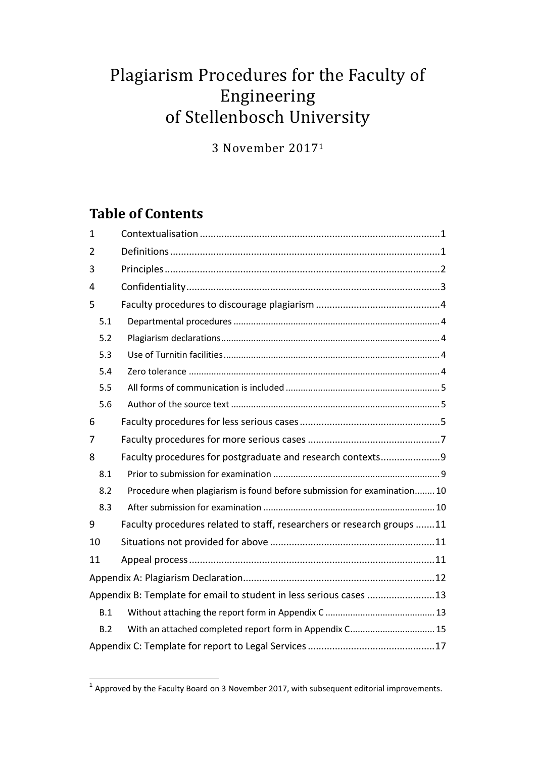# Plagiarism Procedures for the Faculty of Engineering of Stellenbosch University

3 November 2017<sup>1</sup>

# **Table of Contents**

| $\mathbf{1}$                                                       |                                                                         |  |
|--------------------------------------------------------------------|-------------------------------------------------------------------------|--|
| $\overline{2}$                                                     |                                                                         |  |
| 3                                                                  |                                                                         |  |
| 4                                                                  |                                                                         |  |
| 5                                                                  |                                                                         |  |
| 5.1                                                                |                                                                         |  |
| 5.2                                                                |                                                                         |  |
| 5.3                                                                |                                                                         |  |
| 5.4                                                                |                                                                         |  |
| 5.5                                                                |                                                                         |  |
| 5.6                                                                |                                                                         |  |
| 6                                                                  |                                                                         |  |
| 7                                                                  |                                                                         |  |
| 8                                                                  | Faculty procedures for postgraduate and research contexts9              |  |
| 8.1                                                                |                                                                         |  |
| 8.2                                                                | Procedure when plagiarism is found before submission for examination 10 |  |
| 8.3                                                                |                                                                         |  |
| 9                                                                  | Faculty procedures related to staff, researchers or research groups 11  |  |
| 10                                                                 |                                                                         |  |
| 11                                                                 |                                                                         |  |
|                                                                    |                                                                         |  |
| Appendix B: Template for email to student in less serious cases 13 |                                                                         |  |
| B.1                                                                |                                                                         |  |
| B.2                                                                | With an attached completed report form in Appendix C 15                 |  |
|                                                                    |                                                                         |  |

**The Laure of Approved by the Faculty Board on 3 November 2017, with subsequent editorial improvements.**<br><sup>1</sup> Approved by the Faculty Board on 3 November 2017, with subsequent editorial improvements.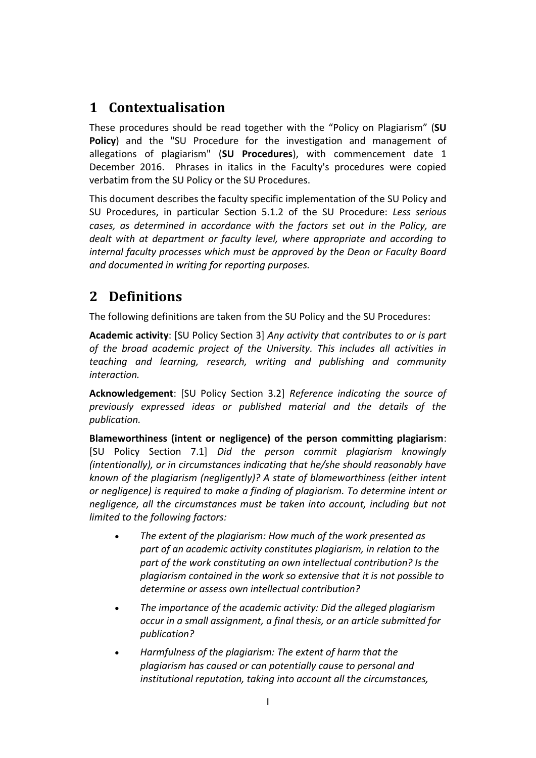# <span id="page-1-0"></span>**1 Contextualisation**

These procedures should be read together with the "Policy on Plagiarism" (**SU Policy**) and the "SU Procedure for the investigation and management of allegations of plagiarism" (**SU Procedures**), with commencement date 1 December 2016. Phrases in italics in the Faculty's procedures were copied verbatim from the SU Policy or the SU Procedures.

This document describes the faculty specific implementation of the SU Policy and SU Procedures, in particular Section 5.1.2 of the SU Procedure: *Less serious cases, as determined in accordance with the factors set out in the Policy, are dealt with at department or faculty level, where appropriate and according to internal faculty processes which must be approved by the Dean or Faculty Board and documented in writing for reporting purposes.*

### <span id="page-1-1"></span>**2 Definitions**

The following definitions are taken from the SU Policy and the SU Procedures:

**Academic activity**: [SU Policy Section 3] *Any activity that contributes to or is part of the broad academic project of the University. This includes all activities in teaching and learning, research, writing and publishing and community interaction.*

**Acknowledgement**: [SU Policy Section 3.2] *Reference indicating the source of previously expressed ideas or published material and the details of the publication.*

**Blameworthiness (intent or negligence) of the person committing plagiarism**: [SU Policy Section 7.1] *Did the person commit plagiarism knowingly (intentionally), or in circumstances indicating that he/she should reasonably have known of the plagiarism (negligently)? A state of blameworthiness (either intent or negligence) is required to make a finding of plagiarism. To determine intent or negligence, all the circumstances must be taken into account, including but not limited to the following factors:*

- *The extent of the plagiarism: How much of the work presented as part of an academic activity constitutes plagiarism, in relation to the part of the work constituting an own intellectual contribution? Is the plagiarism contained in the work so extensive that it is not possible to determine or assess own intellectual contribution?*
- *The importance of the academic activity: Did the alleged plagiarism occur in a small assignment, a final thesis, or an article submitted for publication?*
- *Harmfulness of the plagiarism: The extent of harm that the plagiarism has caused or can potentially cause to personal and institutional reputation, taking into account all the circumstances,*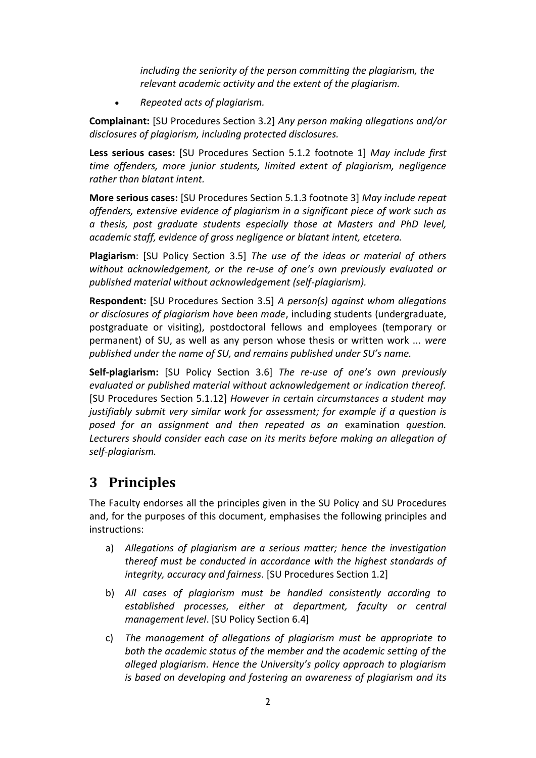*including the seniority of the person committing the plagiarism, the relevant academic activity and the extent of the plagiarism.*

*Repeated acts of plagiarism.*

**Complainant:** [SU Procedures Section 3.2] *Any person making allegations and/or disclosures of plagiarism, including protected disclosures.*

**Less serious cases:** [SU Procedures Section 5.1.2 footnote 1] *May include first time offenders, more junior students, limited extent of plagiarism, negligence rather than blatant intent.*

**More serious cases:** [SU Procedures Section 5.1.3 footnote 3] *May include repeat offenders, extensive evidence of plagiarism in a significant piece of work such as a thesis, post graduate students especially those at Masters and PhD level, academic staff, evidence of gross negligence or blatant intent, etcetera.* 

**Plagiarism**: [SU Policy Section 3.5] *The use of the ideas or material of others without acknowledgement, or the re-use of one's own previously evaluated or published material without acknowledgement (self-plagiarism).*

**Respondent:** [SU Procedures Section 3.5] *A person(s) against whom allegations or disclosures of plagiarism have been made*, including students (undergraduate, postgraduate or visiting), postdoctoral fellows and employees (temporary or permanent) of SU, as well as any person whose thesis or written work ... *were published under the name of SU, and remains published under SU's name.*

**Self-plagiarism:** [SU Policy Section 3.6] *The re-use of one's own previously evaluated or published material without acknowledgement or indication thereof.*  [SU Procedures Section 5.1.12] *However in certain circumstances a student may justifiably submit very similar work for assessment; for example if a question is posed for an assignment and then repeated as an* examination *question. Lecturers should consider each case on its merits before making an allegation of self-plagiarism.*

### <span id="page-2-0"></span>**3 Principles**

The Faculty endorses all the principles given in the SU Policy and SU Procedures and, for the purposes of this document, emphasises the following principles and instructions:

- a) *Allegations of plagiarism are a serious matter; hence the investigation thereof must be conducted in accordance with the highest standards of integrity, accuracy and fairness*. [SU Procedures Section 1.2]
- b) *All cases of plagiarism must be handled consistently according to established processes, either at department, faculty or central management level*. [SU Policy Section 6.4]
- c) *The management of allegations of plagiarism must be appropriate to both the academic status of the member and the academic setting of the alleged plagiarism. Hence the University's policy approach to plagiarism is based on developing and fostering an awareness of plagiarism and its*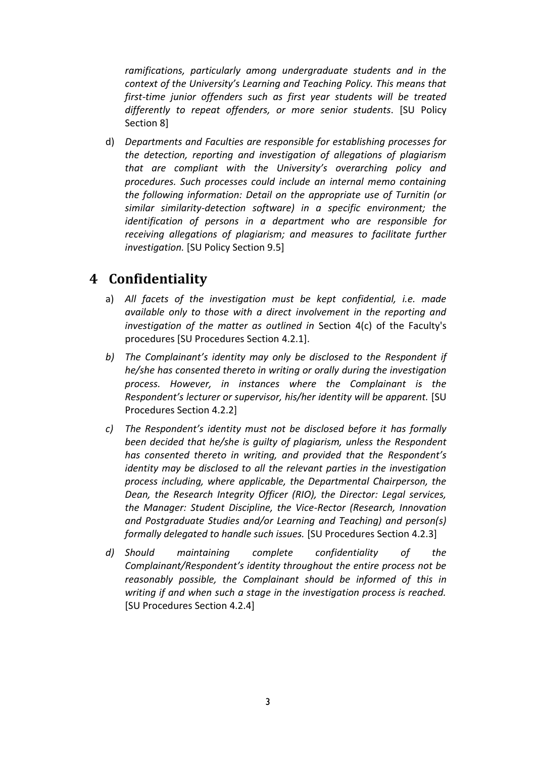*ramifications, particularly among undergraduate students and in the context of the University's Learning and Teaching Policy. This means that first-time junior offenders such as first year students will be treated differently to repeat offenders, or more senior students*. [SU Policy Section 8]

d) *Departments and Faculties are responsible for establishing processes for the detection, reporting and investigation of allegations of plagiarism that are compliant with the University's overarching policy and procedures. Such processes could include an internal memo containing the following information: Detail on the appropriate use of Turnitin (or similar similarity-detection software) in a specific environment; the identification of persons in a department who are responsible for receiving allegations of plagiarism; and measures to facilitate further investigation.* [SU Policy Section 9.5]

### <span id="page-3-0"></span>**4 Confidentiality**

- a) *All facets of the investigation must be kept confidential, i.e. made available only to those with a direct involvement in the reporting and investigation of the matter as outlined in* Section 4(c) of the Faculty's procedures [SU Procedures Section 4.2.1].
- *b) The Complainant's identity may only be disclosed to the Respondent if he/she has consented thereto in writing or orally during the investigation process. However, in instances where the Complainant is the Respondent's lecturer or supervisor, his/her identity will be apparent.* [SU Procedures Section 4.2.2]
- *c) The Respondent's identity must not be disclosed before it has formally been decided that he/she is guilty of plagiarism, unless the Respondent has consented thereto in writing, and provided that the Respondent's identity may be disclosed to all the relevant parties in the investigation process including, where applicable, the Departmental Chairperson, the Dean, the Research Integrity Officer (RIO), the Director: Legal services, the Manager: Student Discipline, the Vice-Rector (Research, Innovation and Postgraduate Studies and/or Learning and Teaching) and person(s) formally delegated to handle such issues.* [SU Procedures Section 4.2.3]
- *d) Should maintaining complete confidentiality of the Complainant/Respondent's identity throughout the entire process not be reasonably possible, the Complainant should be informed of this in writing if and when such a stage in the investigation process is reached.* [SU Procedures Section 4.2.4]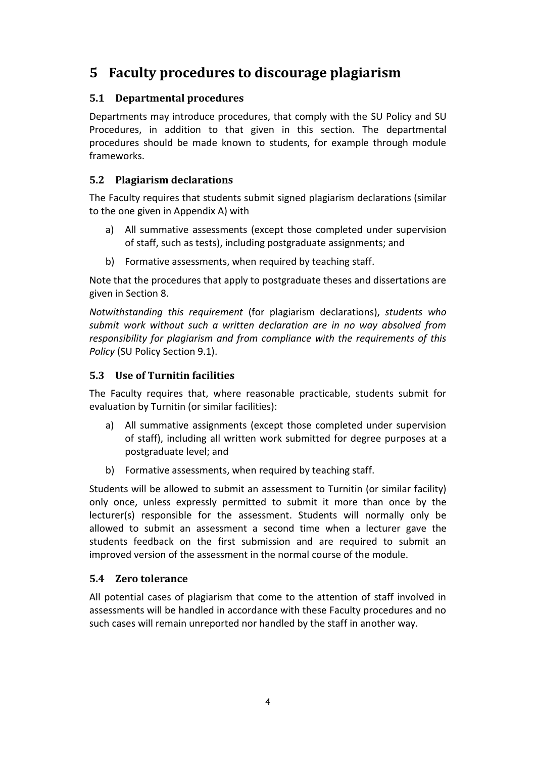### <span id="page-4-0"></span>**5 Faculty procedures to discourage plagiarism**

#### <span id="page-4-1"></span>**5.1 Departmental procedures**

Departments may introduce procedures, that comply with the SU Policy and SU Procedures, in addition to that given in this section. The departmental procedures should be made known to students, for example through module frameworks.

#### <span id="page-4-2"></span>**5.2 Plagiarism declarations**

The Faculty requires that students submit signed plagiarism declarations (similar to the one given in Appendix A) with

- a) All summative assessments (except those completed under supervision of staff, such as tests), including postgraduate assignments; and
- b) Formative assessments, when required by teaching staff.

Note that the procedures that apply to postgraduate theses and dissertations are given in Section [8.](#page-9-0)

*Notwithstanding this requirement* (for plagiarism declarations), *students who submit work without such a written declaration are in no way absolved from responsibility for plagiarism and from compliance with the requirements of this Policy* (SU Policy Section 9.1).

#### <span id="page-4-3"></span>**5.3 Use of Turnitin facilities**

The Faculty requires that, where reasonable practicable, students submit for evaluation by Turnitin (or similar facilities):

- a) All summative assignments (except those completed under supervision of staff), including all written work submitted for degree purposes at a postgraduate level; and
- b) Formative assessments, when required by teaching staff.

Students will be allowed to submit an assessment to Turnitin (or similar facility) only once, unless expressly permitted to submit it more than once by the lecturer(s) responsible for the assessment. Students will normally only be allowed to submit an assessment a second time when a lecturer gave the students feedback on the first submission and are required to submit an improved version of the assessment in the normal course of the module.

#### <span id="page-4-4"></span>**5.4 Zero tolerance**

All potential cases of plagiarism that come to the attention of staff involved in assessments will be handled in accordance with these Faculty procedures and no such cases will remain unreported nor handled by the staff in another way.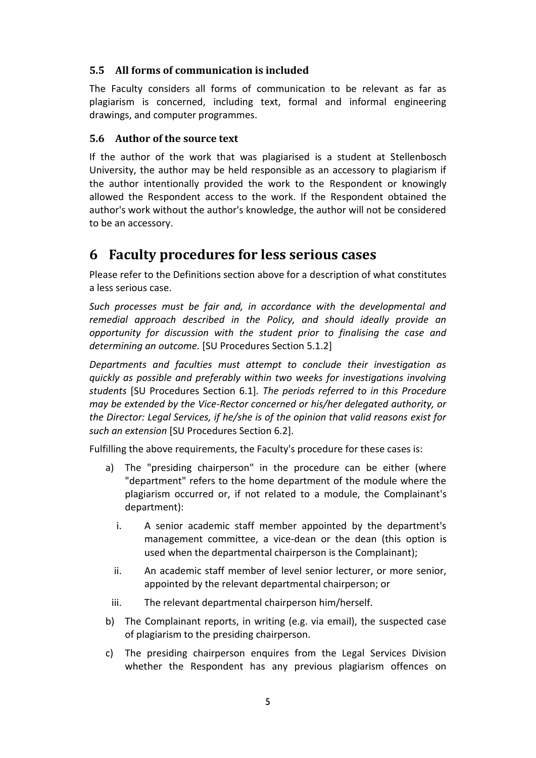#### <span id="page-5-0"></span>**5.5 All forms of communication is included**

The Faculty considers all forms of communication to be relevant as far as plagiarism is concerned, including text, formal and informal engineering drawings, and computer programmes.

#### <span id="page-5-1"></span>**5.6 Author of the source text**

If the author of the work that was plagiarised is a student at Stellenbosch University, the author may be held responsible as an accessory to plagiarism if the author intentionally provided the work to the Respondent or knowingly allowed the Respondent access to the work. If the Respondent obtained the author's work without the author's knowledge, the author will not be considered to be an accessory.

### <span id="page-5-2"></span>**6 Faculty procedures for less serious cases**

Please refer to the Definitions section above for a description of what constitutes a less serious case.

*Such processes must be fair and, in accordance with the developmental and remedial approach described in the Policy, and should ideally provide an opportunity for discussion with the student prior to finalising the case and determining an outcome.* [SU Procedures Section 5.1.2]

*Departments and faculties must attempt to conclude their investigation as quickly as possible and preferably within two weeks for investigations involving students* [SU Procedures Section 6.1]*. The periods referred to in this Procedure may be extended by the Vice-Rector concerned or his/her delegated authority, or the Director: Legal Services, if he/she is of the opinion that valid reasons exist for such an extension* [SU Procedures Section 6.2].

Fulfilling the above requirements, the Faculty's procedure for these cases is:

- a) The "presiding chairperson" in the procedure can be either (where "department" refers to the home department of the module where the plagiarism occurred or, if not related to a module, the Complainant's department):
	- i. A senior academic staff member appointed by the department's management committee, a vice-dean or the dean (this option is used when the departmental chairperson is the Complainant);
	- ii. An academic staff member of level senior lecturer, or more senior, appointed by the relevant departmental chairperson; or
- iii. The relevant departmental chairperson him/herself.
- b) The Complainant reports, in writing (e.g. via email), the suspected case of plagiarism to the presiding chairperson.
- c) The presiding chairperson enquires from the Legal Services Division whether the Respondent has any previous plagiarism offences on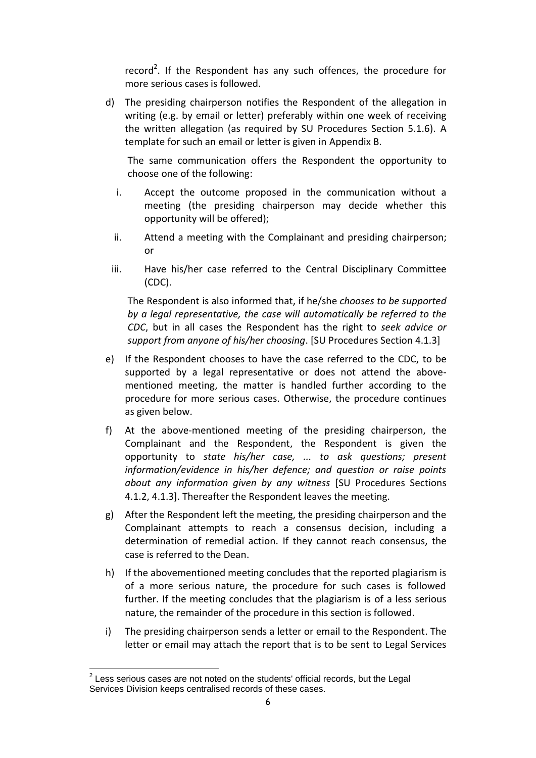record<sup>2</sup>. If the Respondent has any such offences, the procedure for more serious cases is followed.

d) The presiding chairperson notifies the Respondent of the allegation in writing (e.g. by email or letter) preferably within one week of receiving the written allegation (as required by SU Procedures Section 5.1.6). A template for such an email or letter is given in Appendix B.

The same communication offers the Respondent the opportunity to choose one of the following:

- i. Accept the outcome proposed in the communication without a meeting (the presiding chairperson may decide whether this opportunity will be offered);
- ii. Attend a meeting with the Complainant and presiding chairperson; or
- iii. Have his/her case referred to the Central Disciplinary Committee (CDC).

The Respondent is also informed that, if he/she *chooses to be supported by a legal representative, the case will automatically be referred to the CDC*, but in all cases the Respondent has the right to *seek advice or support from anyone of his/her choosing*. [SU Procedures Section 4.1.3]

- e) If the Respondent chooses to have the case referred to the CDC, to be supported by a legal representative or does not attend the abovementioned meeting, the matter is handled further according to the procedure for more serious cases. Otherwise, the procedure continues as given below.
- f) At the above-mentioned meeting of the presiding chairperson, the Complainant and the Respondent, the Respondent is given the opportunity to *state his/her case, ... to ask questions; present information/evidence in his/her defence; and question or raise points about any information given by any witness* [SU Procedures Sections 4.1.2, 4.1.3]. Thereafter the Respondent leaves the meeting.
- g) After the Respondent left the meeting, the presiding chairperson and the Complainant attempts to reach a consensus decision, including a determination of remedial action. If they cannot reach consensus, the case is referred to the Dean.
- h) If the abovementioned meeting concludes that the reported plagiarism is of a more serious nature, the procedure for such cases is followed further. If the meeting concludes that the plagiarism is of a less serious nature, the remainder of the procedure in this section is followed.
- i) The presiding chairperson sends a letter or email to the Respondent. The letter or email may attach the report that is to be sent to Legal Services

 2 Less serious cases are not noted on the students' official records, but the Legal Services Division keeps centralised records of these cases.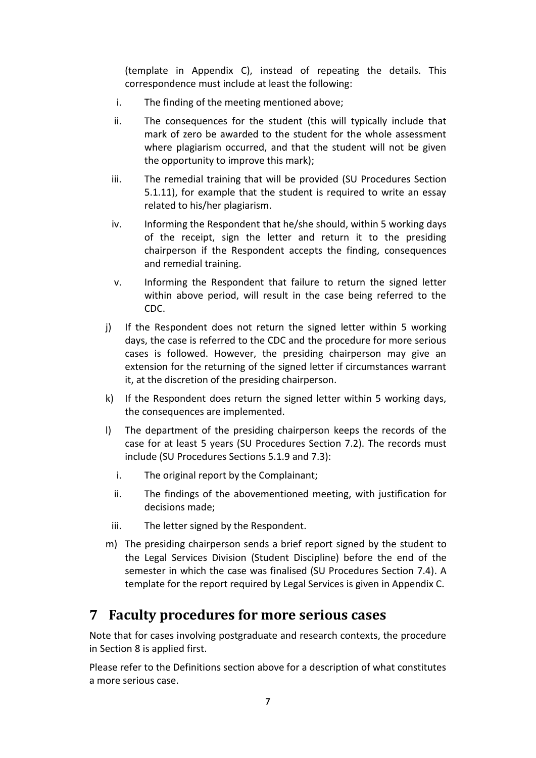(template in Appendix C), instead of repeating the details. This correspondence must include at least the following:

- i. The finding of the meeting mentioned above;
- ii. The consequences for the student (this will typically include that mark of zero be awarded to the student for the whole assessment where plagiarism occurred, and that the student will not be given the opportunity to improve this mark);
- iii. The remedial training that will be provided (SU Procedures Section 5.1.11), for example that the student is required to write an essay related to his/her plagiarism.
- iv. Informing the Respondent that he/she should, within 5 working days of the receipt, sign the letter and return it to the presiding chairperson if the Respondent accepts the finding, consequences and remedial training.
- v. Informing the Respondent that failure to return the signed letter within above period, will result in the case being referred to the CDC.
- j) If the Respondent does not return the signed letter within 5 working days, the case is referred to the CDC and the procedure for more serious cases is followed. However, the presiding chairperson may give an extension for the returning of the signed letter if circumstances warrant it, at the discretion of the presiding chairperson.
- k) If the Respondent does return the signed letter within 5 working days, the consequences are implemented.
- l) The department of the presiding chairperson keeps the records of the case for at least 5 years (SU Procedures Section 7.2). The records must include (SU Procedures Sections 5.1.9 and 7.3):
	- i. The original report by the Complainant;
	- ii. The findings of the abovementioned meeting, with justification for decisions made;
	- iii. The letter signed by the Respondent.
- m) The presiding chairperson sends a brief report signed by the student to the Legal Services Division (Student Discipline) before the end of the semester in which the case was finalised (SU Procedures Section 7.4). A template for the report required by Legal Services is given in Appendix C.

### <span id="page-7-0"></span>**7 Faculty procedures for more serious cases**

Note that for cases involving postgraduate and research contexts, the procedure in Sectio[n 8](#page-9-0) is applied first.

Please refer to the Definitions section above for a description of what constitutes a more serious case.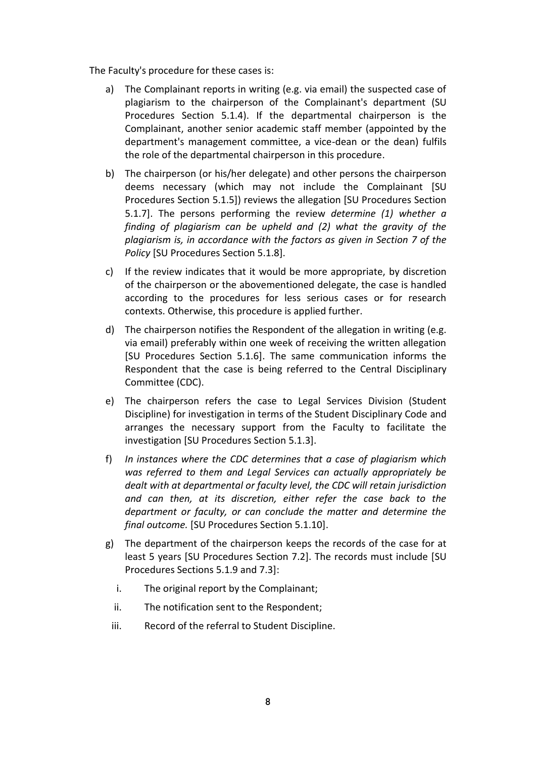The Faculty's procedure for these cases is:

- a) The Complainant reports in writing (e.g. via email) the suspected case of plagiarism to the chairperson of the Complainant's department (SU Procedures Section 5.1.4). If the departmental chairperson is the Complainant, another senior academic staff member (appointed by the department's management committee, a vice-dean or the dean) fulfils the role of the departmental chairperson in this procedure.
- b) The chairperson (or his/her delegate) and other persons the chairperson deems necessary (which may not include the Complainant [SU Procedures Section 5.1.5]) reviews the allegation [SU Procedures Section 5.1.7]. The persons performing the review *determine (1) whether a finding of plagiarism can be upheld and (2) what the gravity of the plagiarism is, in accordance with the factors as given in Section 7 of the Policy* [SU Procedures Section 5.1.8].
- c) If the review indicates that it would be more appropriate, by discretion of the chairperson or the abovementioned delegate, the case is handled according to the procedures for less serious cases or for research contexts. Otherwise, this procedure is applied further.
- d) The chairperson notifies the Respondent of the allegation in writing (e.g. via email) preferably within one week of receiving the written allegation [SU Procedures Section 5.1.6]. The same communication informs the Respondent that the case is being referred to the Central Disciplinary Committee (CDC).
- e) The chairperson refers the case to Legal Services Division (Student Discipline) for investigation in terms of the Student Disciplinary Code and arranges the necessary support from the Faculty to facilitate the investigation [SU Procedures Section 5.1.3].
- f) *In instances where the CDC determines that a case of plagiarism which was referred to them and Legal Services can actually appropriately be dealt with at departmental or faculty level, the CDC will retain jurisdiction and can then, at its discretion, either refer the case back to the department or faculty, or can conclude the matter and determine the final outcome.* [SU Procedures Section 5.1.10].
- g) The department of the chairperson keeps the records of the case for at least 5 years [SU Procedures Section 7.2]. The records must include [SU Procedures Sections 5.1.9 and 7.3]:
	- i. The original report by the Complainant;
	- ii. The notification sent to the Respondent;
	- iii. Record of the referral to Student Discipline.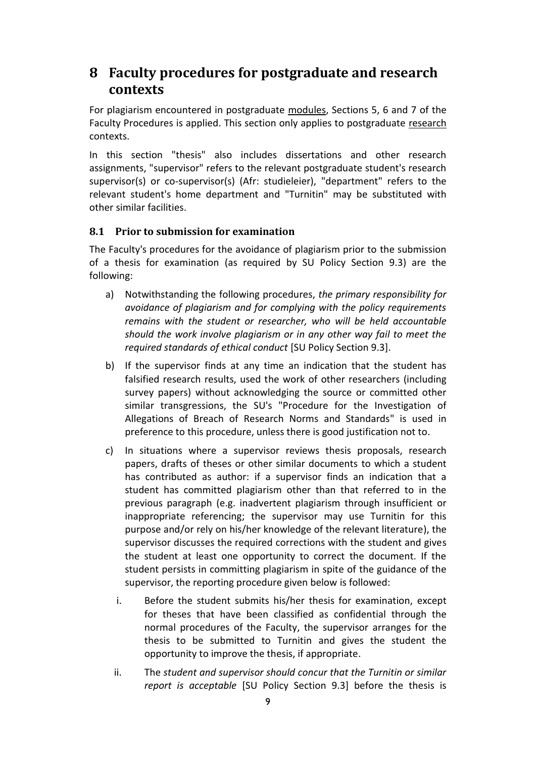### <span id="page-9-0"></span>**8 Faculty procedures for postgraduate and research contexts**

For plagiarism encountered in postgraduate modules, Sections 5, 6 and 7 of the Faculty Procedures is applied. This section only applies to postgraduate research contexts.

In this section "thesis" also includes dissertations and other research assignments, "supervisor" refers to the relevant postgraduate student's research supervisor(s) or co-supervisor(s) (Afr: studieleier), "department" refers to the relevant student's home department and "Turnitin" may be substituted with other similar facilities.

#### <span id="page-9-1"></span>**8.1 Prior to submission for examination**

The Faculty's procedures for the avoidance of plagiarism prior to the submission of a thesis for examination (as required by SU Policy Section 9.3) are the following:

- a) Notwithstanding the following procedures, *the primary responsibility for avoidance of plagiarism and for complying with the policy requirements remains with the student or researcher, who will be held accountable should the work involve plagiarism or in any other way fail to meet the required standards of ethical conduct* [SU Policy Section 9.3].
- b) If the supervisor finds at any time an indication that the student has falsified research results, used the work of other researchers (including survey papers) without acknowledging the source or committed other similar transgressions, the SU's "Procedure for the Investigation of Allegations of Breach of Research Norms and Standards" is used in preference to this procedure, unless there is good justification not to.
- c) In situations where a supervisor reviews thesis proposals, research papers, drafts of theses or other similar documents to which a student has contributed as author: if a supervisor finds an indication that a student has committed plagiarism other than that referred to in the previous paragraph (e.g. inadvertent plagiarism through insufficient or inappropriate referencing; the supervisor may use Turnitin for this purpose and/or rely on his/her knowledge of the relevant literature), the supervisor discusses the required corrections with the student and gives the student at least one opportunity to correct the document. If the student persists in committing plagiarism in spite of the guidance of the supervisor, the reporting procedure given below is followed:
	- i. Before the student submits his/her thesis for examination, except for theses that have been classified as confidential through the normal procedures of the Faculty, the supervisor arranges for the thesis to be submitted to Turnitin and gives the student the opportunity to improve the thesis, if appropriate.
	- ii. The *student and supervisor should concur that the Turnitin or similar report is acceptable* [SU Policy Section 9.3] before the thesis is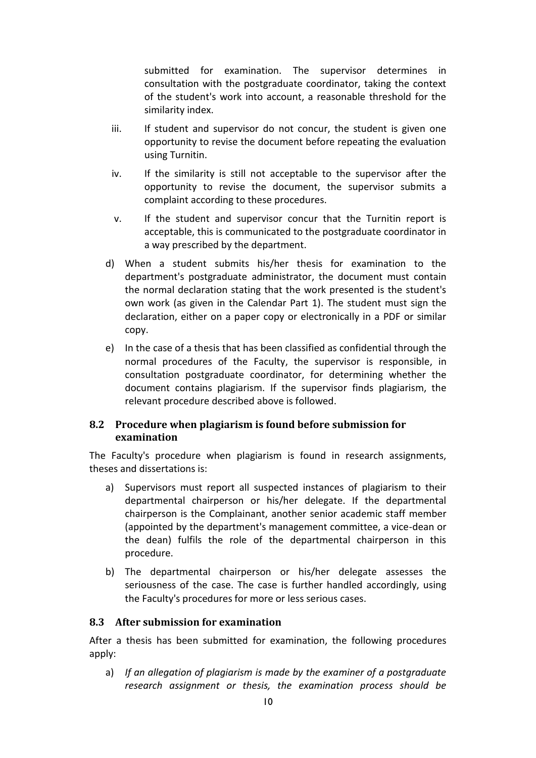submitted for examination. The supervisor determines in consultation with the postgraduate coordinator, taking the context of the student's work into account, a reasonable threshold for the similarity index.

- iii. If student and supervisor do not concur, the student is given one opportunity to revise the document before repeating the evaluation using Turnitin.
- iv. If the similarity is still not acceptable to the supervisor after the opportunity to revise the document, the supervisor submits a complaint according to these procedures.
- v. If the student and supervisor concur that the Turnitin report is acceptable, this is communicated to the postgraduate coordinator in a way prescribed by the department.
- d) When a student submits his/her thesis for examination to the department's postgraduate administrator, the document must contain the normal declaration stating that the work presented is the student's own work (as given in the Calendar Part 1). The student must sign the declaration, either on a paper copy or electronically in a PDF or similar copy.
- e) In the case of a thesis that has been classified as confidential through the normal procedures of the Faculty, the supervisor is responsible, in consultation postgraduate coordinator, for determining whether the document contains plagiarism. If the supervisor finds plagiarism, the relevant procedure described above is followed.

#### <span id="page-10-0"></span>**8.2 Procedure when plagiarism is found before submission for examination**

The Faculty's procedure when plagiarism is found in research assignments, theses and dissertations is:

- a) Supervisors must report all suspected instances of plagiarism to their departmental chairperson or his/her delegate. If the departmental chairperson is the Complainant, another senior academic staff member (appointed by the department's management committee, a vice-dean or the dean) fulfils the role of the departmental chairperson in this procedure.
- b) The departmental chairperson or his/her delegate assesses the seriousness of the case. The case is further handled accordingly, using the Faculty's procedures for more or less serious cases.

#### <span id="page-10-1"></span>**8.3 After submission for examination**

After a thesis has been submitted for examination, the following procedures apply:

a) *If an allegation of plagiarism is made by the examiner of a postgraduate research assignment or thesis, the examination process should be*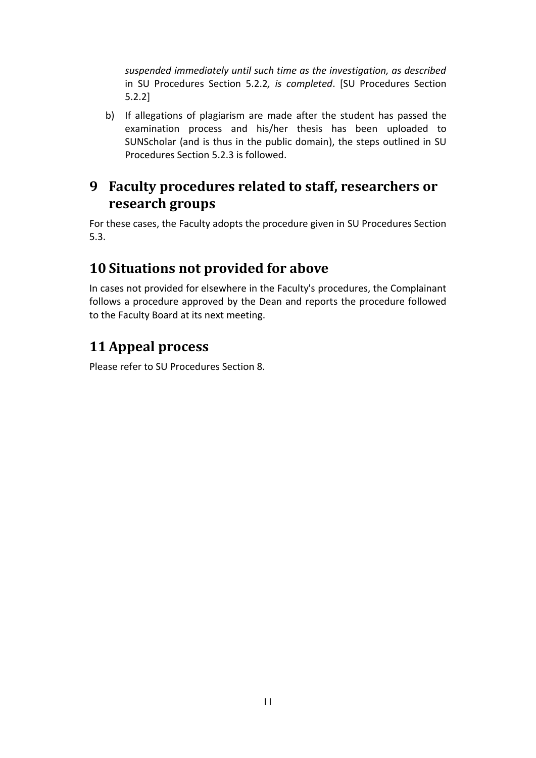*suspended immediately until such time as the investigation, as described*  in SU Procedures Section 5.2.2*, is completed*. [SU Procedures Section 5.2.2]

b) If allegations of plagiarism are made after the student has passed the examination process and his/her thesis has been uploaded to SUNScholar (and is thus in the public domain), the steps outlined in SU Procedures Section 5.2.3 is followed.

### <span id="page-11-0"></span>**9 Faculty procedures related to staff, researchers or research groups**

For these cases, the Faculty adopts the procedure given in SU Procedures Section 5.3.

# <span id="page-11-1"></span>**10 Situations not provided for above**

In cases not provided for elsewhere in the Faculty's procedures, the Complainant follows a procedure approved by the Dean and reports the procedure followed to the Faculty Board at its next meeting.

# <span id="page-11-2"></span>**11 Appeal process**

Please refer to SU Procedures Section 8.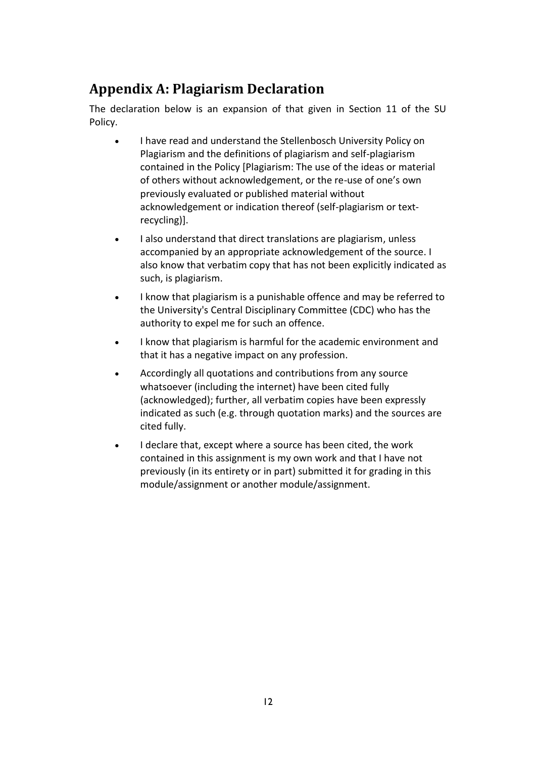# <span id="page-12-0"></span>**Appendix A: Plagiarism Declaration**

The declaration below is an expansion of that given in Section 11 of the SU Policy.

- I have read and understand the Stellenbosch University Policy on Plagiarism and the definitions of plagiarism and self-plagiarism contained in the Policy [Plagiarism: The use of the ideas or material of others without acknowledgement, or the re-use of one's own previously evaluated or published material without acknowledgement or indication thereof (self-plagiarism or textrecycling)].
- I also understand that direct translations are plagiarism, unless accompanied by an appropriate acknowledgement of the source. I also know that verbatim copy that has not been explicitly indicated as such, is plagiarism.
- I know that plagiarism is a punishable offence and may be referred to the University's Central Disciplinary Committee (CDC) who has the authority to expel me for such an offence.
- I know that plagiarism is harmful for the academic environment and that it has a negative impact on any profession.
- Accordingly all quotations and contributions from any source whatsoever (including the internet) have been cited fully (acknowledged); further, all verbatim copies have been expressly indicated as such (e.g. through quotation marks) and the sources are cited fully.
- I declare that, except where a source has been cited, the work contained in this assignment is my own work and that I have not previously (in its entirety or in part) submitted it for grading in this module/assignment or another module/assignment.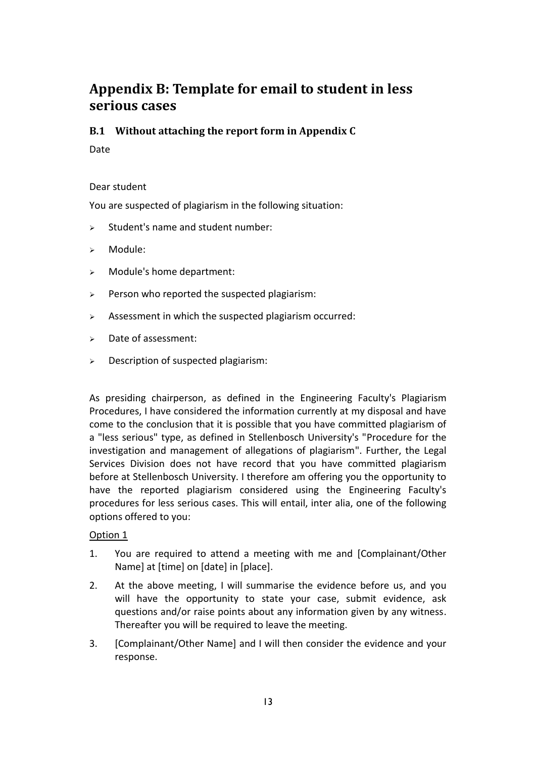### <span id="page-13-0"></span>**Appendix B: Template for email to student in less serious cases**

#### <span id="page-13-1"></span>**B.1 Without attaching the report form in Appendix C**

Date

#### Dear student

You are suspected of plagiarism in the following situation:

- $\triangleright$  Student's name and student number:
- Module:
- Module's home department:
- $\triangleright$  Person who reported the suspected plagiarism:
- $\triangleright$  Assessment in which the suspected plagiarism occurred:
- $\triangleright$  Date of assessment:
- $\triangleright$  Description of suspected plagiarism:

As presiding chairperson, as defined in the Engineering Faculty's Plagiarism Procedures, I have considered the information currently at my disposal and have come to the conclusion that it is possible that you have committed plagiarism of a "less serious" type, as defined in Stellenbosch University's "Procedure for the investigation and management of allegations of plagiarism". Further, the Legal Services Division does not have record that you have committed plagiarism before at Stellenbosch University. I therefore am offering you the opportunity to have the reported plagiarism considered using the Engineering Faculty's procedures for less serious cases. This will entail, inter alia, one of the following options offered to you:

#### Option 1

- 1. You are required to attend a meeting with me and [Complainant/Other Name] at [time] on [date] in [place].
- 2. At the above meeting, I will summarise the evidence before us, and you will have the opportunity to state your case, submit evidence, ask questions and/or raise points about any information given by any witness. Thereafter you will be required to leave the meeting.
- 3. [Complainant/Other Name] and I will then consider the evidence and your response.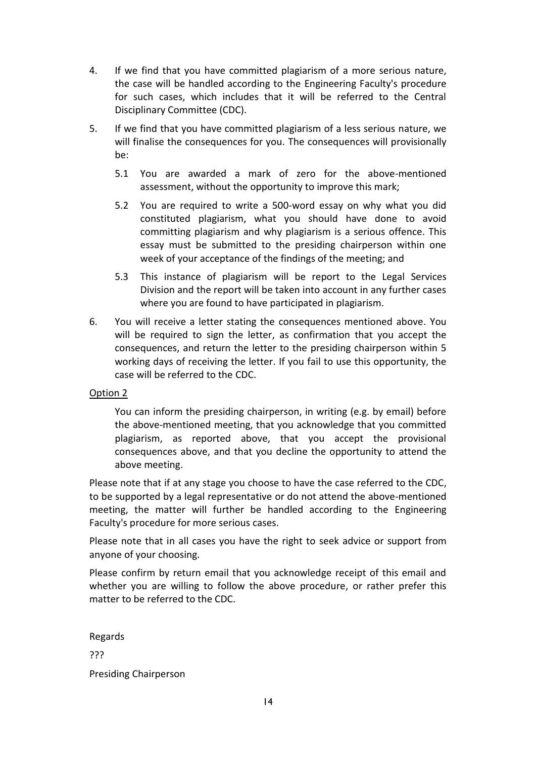- 4. If we find that you have committed plagiarism of a more serious nature, the case will be handled according to the Engineering Faculty's procedure for such cases, which includes that it will be referred to the Central Disciplinary Committee (CDC).
- 5. If we find that you have committed plagiarism of a less serious nature, we will finalise the consequences for you. The consequences will provisionally be:
	- 5.1 You are awarded a mark of zero for the above-mentioned assessment, without the opportunity to improve this mark;
	- 5.2 You are required to write a 500-word essay on why what you did constituted plagiarism, what you should have done to avoid committing plagiarism and why plagiarism is a serious offence. This essay must be submitted to the presiding chairperson within one week of your acceptance of the findings of the meeting; and
	- 5.3 This instance of plagiarism will be report to the Legal Services Division and the report will be taken into account in any further cases where you are found to have participated in plagiarism.
- 6. You will receive a letter stating the consequences mentioned above. You will be required to sign the letter, as confirmation that you accept the consequences, and return the letter to the presiding chairperson within 5 working days of receiving the letter. If you fail to use this opportunity, the case will be referred to the CDC.

#### Option 2

You can inform the presiding chairperson, in writing (e.g. by email) before the above-mentioned meeting, that you acknowledge that you committed plagiarism, as reported above, that you accept the provisional consequences above, and that you decline the opportunity to attend the above meeting.

Please note that if at any stage you choose to have the case referred to the CDC, to be supported by a legal representative or do not attend the above-mentioned meeting, the matter will further be handled according to the Engineering Faculty's procedure for more serious cases.

Please note that in all cases you have the right to seek advice or support from anyone of your choosing.

Please confirm by return email that you acknowledge receipt of this email and whether you are willing to follow the above procedure, or rather prefer this matter to be referred to the CDC.

Regards ??? Presiding Chairperson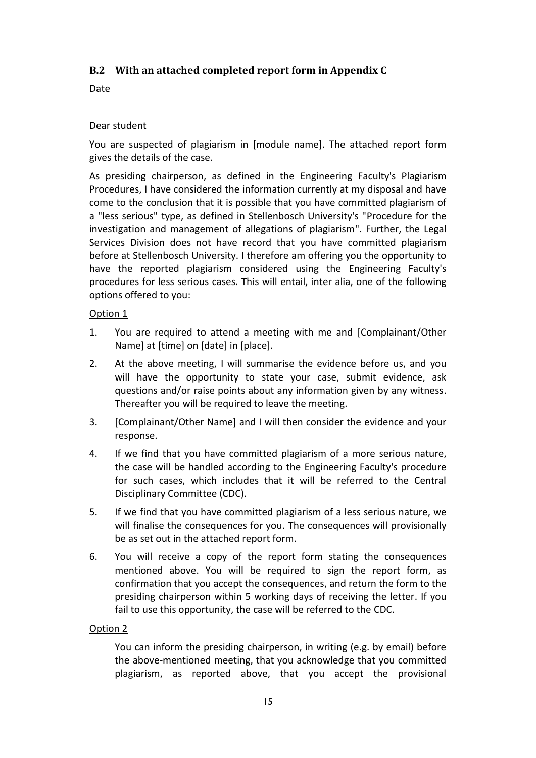#### <span id="page-15-0"></span>**B.2 With an attached completed report form in Appendix C**

Date

#### Dear student

You are suspected of plagiarism in [module name]. The attached report form gives the details of the case.

As presiding chairperson, as defined in the Engineering Faculty's Plagiarism Procedures, I have considered the information currently at my disposal and have come to the conclusion that it is possible that you have committed plagiarism of a "less serious" type, as defined in Stellenbosch University's "Procedure for the investigation and management of allegations of plagiarism". Further, the Legal Services Division does not have record that you have committed plagiarism before at Stellenbosch University. I therefore am offering you the opportunity to have the reported plagiarism considered using the Engineering Faculty's procedures for less serious cases. This will entail, inter alia, one of the following options offered to you:

#### Option 1

- 1. You are required to attend a meeting with me and [Complainant/Other Name] at [time] on [date] in [place].
- 2. At the above meeting, I will summarise the evidence before us, and you will have the opportunity to state your case, submit evidence, ask questions and/or raise points about any information given by any witness. Thereafter you will be required to leave the meeting.
- 3. [Complainant/Other Name] and I will then consider the evidence and your response.
- 4. If we find that you have committed plagiarism of a more serious nature, the case will be handled according to the Engineering Faculty's procedure for such cases, which includes that it will be referred to the Central Disciplinary Committee (CDC).
- 5. If we find that you have committed plagiarism of a less serious nature, we will finalise the consequences for you. The consequences will provisionally be as set out in the attached report form.
- 6. You will receive a copy of the report form stating the consequences mentioned above. You will be required to sign the report form, as confirmation that you accept the consequences, and return the form to the presiding chairperson within 5 working days of receiving the letter. If you fail to use this opportunity, the case will be referred to the CDC.

#### Option 2

You can inform the presiding chairperson, in writing (e.g. by email) before the above-mentioned meeting, that you acknowledge that you committed plagiarism, as reported above, that you accept the provisional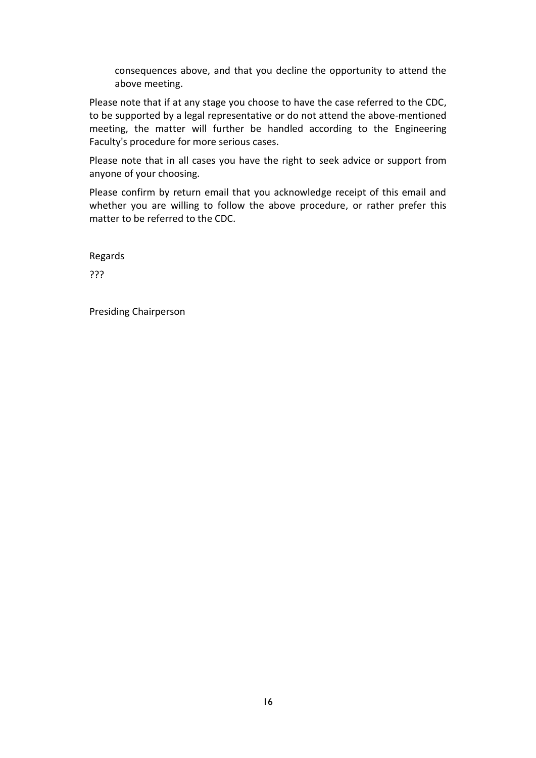consequences above, and that you decline the opportunity to attend the above meeting.

Please note that if at any stage you choose to have the case referred to the CDC, to be supported by a legal representative or do not attend the above-mentioned meeting, the matter will further be handled according to the Engineering Faculty's procedure for more serious cases.

Please note that in all cases you have the right to seek advice or support from anyone of your choosing.

Please confirm by return email that you acknowledge receipt of this email and whether you are willing to follow the above procedure, or rather prefer this matter to be referred to the CDC.

Regards

???

Presiding Chairperson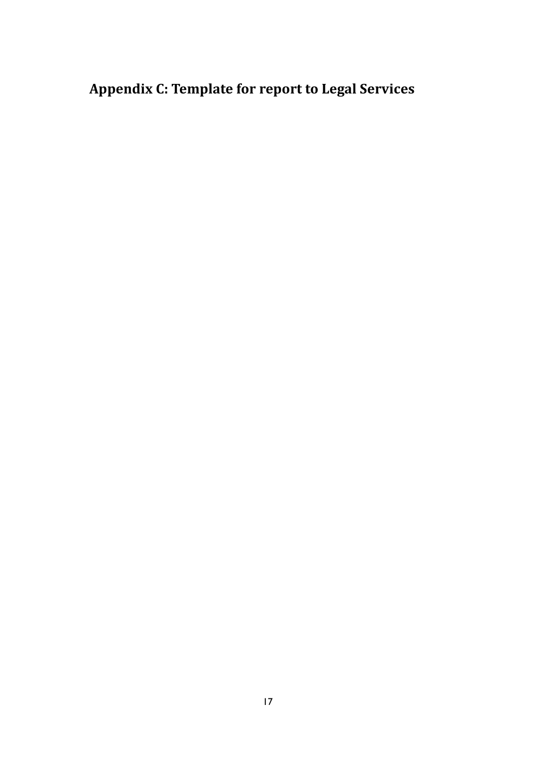# <span id="page-17-0"></span>**Appendix C: Template for report to Legal Services**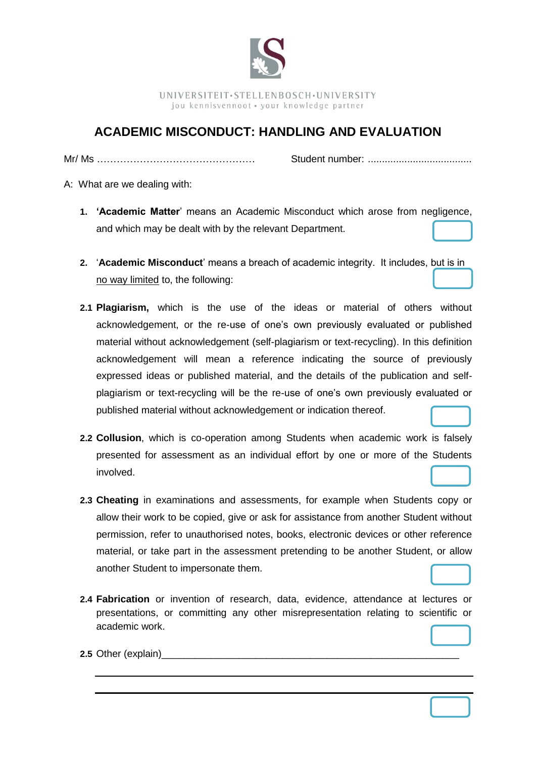

UNIVERSITEIT·STELLENBOSCH·UNIVERSITY jou kennisvennoot · your knowledge partner

### **ACADEMIC MISCONDUCT: HANDLING AND EVALUATION**

Mr/ Ms ………………………………………… Student number: .....................................

A: What are we dealing with:

- **1. 'Academic Matter**' means an Academic Misconduct which arose from negligence, and which may be dealt with by the relevant Department.
- **2.** '**Academic Misconduct**' means a breach of academic integrity. It includes, but is in no way limited to, the following:
- **2.1 Plagiarism,** which is the use of the ideas or material of others without acknowledgement, or the re-use of one's own previously evaluated or published material without acknowledgement (self-plagiarism or text-recycling). In this definition acknowledgement will mean a reference indicating the source of previously expressed ideas or published material, and the details of the publication and selfplagiarism or text-recycling will be the re-use of one's own previously evaluated or published material without acknowledgement or indication thereof.
- **2.2 Collusion**, which is co-operation among Students when academic work is falsely presented for assessment as an individual effort by one or more of the Students involved.
- **2.3 Cheating** in examinations and assessments, for example when Students copy or allow their work to be copied, give or ask for assistance from another Student without permission, refer to unauthorised notes, books, electronic devices or other reference material, or take part in the assessment pretending to be another Student, or allow another Student to impersonate them.
- **2.4 Fabrication** or invention of research, data, evidence, attendance at lectures or presentations, or committing any other misrepresentation relating to scientific or academic work.

**2.5** Other (explain)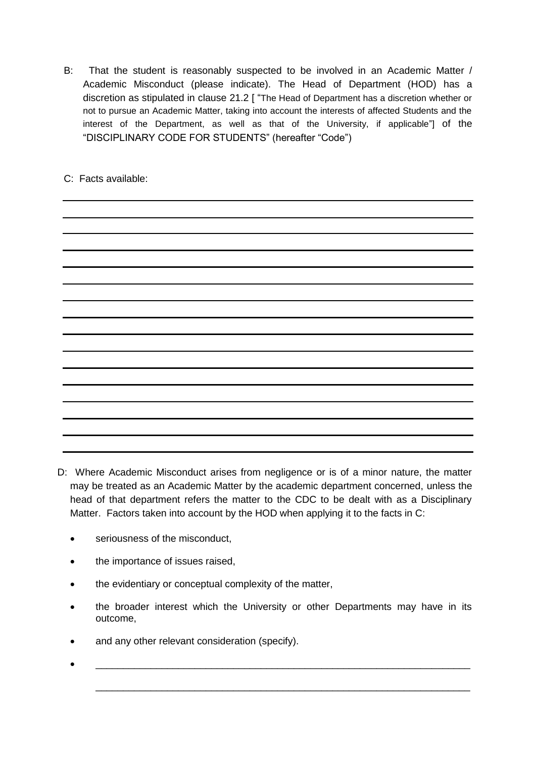B: That the student is reasonably suspected to be involved in an Academic Matter / Academic Misconduct (please indicate). The Head of Department (HOD) has a discretion as stipulated in clause 21.2 [ "The Head of Department has a discretion whether or not to pursue an Academic Matter, taking into account the interests of affected Students and the interest of the Department, as well as that of the University, if applicable"] of the "DISCIPLINARY CODE FOR STUDENTS" (hereafter "Code")

C: Facts available:



- D: Where Academic Misconduct arises from negligence or is of a minor nature, the matter may be treated as an Academic Matter by the academic department concerned, unless the head of that department refers the matter to the CDC to be dealt with as a Disciplinary Matter. Factors taken into account by the HOD when applying it to the facts in C:
	- seriousness of the misconduct,
	- the importance of issues raised,
	- the evidentiary or conceptual complexity of the matter,
	- the broader interest which the University or other Departments may have in its outcome,
	- and any other relevant consideration (specify).
	- \_\_\_\_\_\_\_\_\_\_\_\_\_\_\_\_\_\_\_\_\_\_\_\_\_\_\_\_\_\_\_\_\_\_\_\_\_\_\_\_\_\_\_\_\_\_\_\_\_\_\_\_\_\_\_\_\_\_\_\_\_\_\_\_\_\_\_\_

\_\_\_\_\_\_\_\_\_\_\_\_\_\_\_\_\_\_\_\_\_\_\_\_\_\_\_\_\_\_\_\_\_\_\_\_\_\_\_\_\_\_\_\_\_\_\_\_\_\_\_\_\_\_\_\_\_\_\_\_\_\_\_\_\_\_\_\_